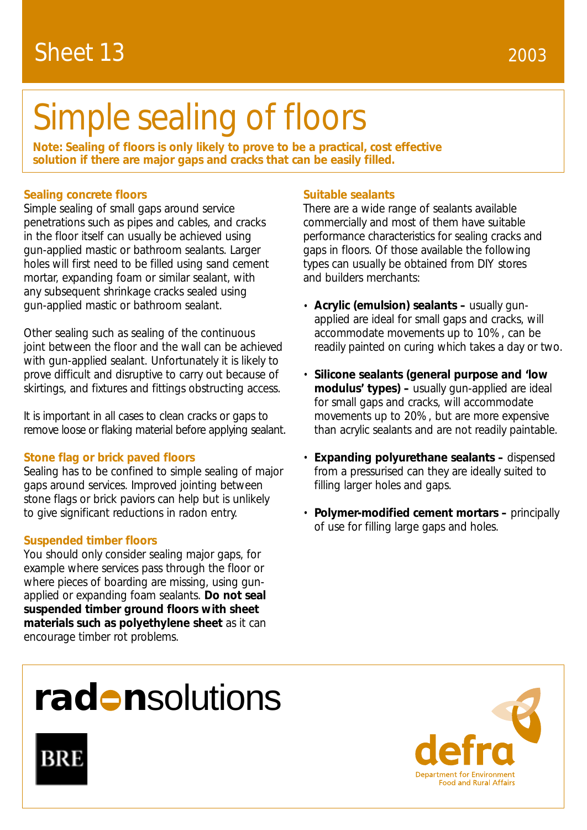# Sheet 13

# Simple sealing of floors

**Note: Sealing of floors is only likely to prove to be a practical, cost effective solution if there are major gaps and cracks that can be easily filled.**

# **Sealing concrete floors**

Simple sealing of small gaps around service penetrations such as pipes and cables, and cracks in the floor itself can usually be achieved using gun-applied mastic or bathroom sealants. Larger holes will first need to be filled using sand cement mortar, expanding foam or similar sealant, with any subsequent shrinkage cracks sealed using gun-applied mastic or bathroom sealant.

Other sealing such as sealing of the continuous joint between the floor and the wall can be achieved with gun-applied sealant. Unfortunately it is likely to prove difficult and disruptive to carry out because of skirtings, and fixtures and fittings obstructing access.

It is important in all cases to clean cracks or gaps to remove loose or flaking material before applying sealant.

### **Stone flag or brick paved floors**

Sealing has to be confined to simple sealing of major gaps around services. Improved jointing between stone flags or brick paviors can help but is unlikely to give significant reductions in radon entry.

### **Suspended timber floors**

You should only consider sealing major gaps, for example where services pass through the floor or where pieces of boarding are missing, using gunapplied or expanding foam sealants. **Do not seal suspended timber ground floors with sheet materials such as polyethylene sheet** as it can encourage timber rot problems.

## **Suitable sealants**

There are a wide range of sealants available commercially and most of them have suitable performance characteristics for sealing cracks and gaps in floors. Of those available the following types can usually be obtained from DIY stores and builders merchants:

- **Acrylic (emulsion) sealants –** usually gunapplied are ideal for small gaps and cracks, will accommodate movements up to 10%, can be readily painted on curing which takes a day or two.
- **Silicone sealants (general purpose and 'low modulus' types) –** usually gun-applied are ideal for small gaps and cracks, will accommodate movements up to 20%, but are more expensive than acrylic sealants and are not readily paintable.
- **Expanding polyurethane sealants –** dispensed from a pressurised can they are ideally suited to filling larger holes and gaps.
- **Polymer-modified cement mortars –** principally of use for filling large gaps and holes.

# rad **n**solutions